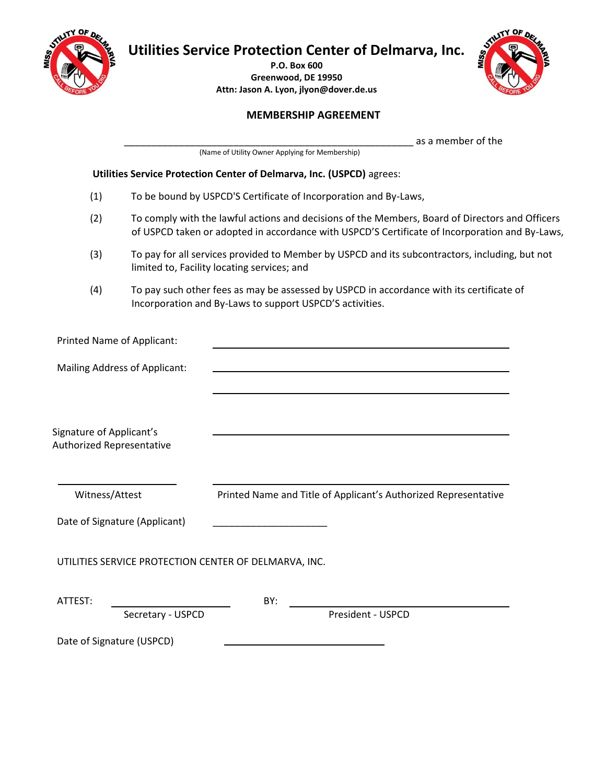

**Utilities Service Protection Center of Delmarva, Inc.** 

**P.O. Box 600 Greenwood, DE 19950 Attn: Jason A. Lyon, jlyon@dover.de.us**



# **MEMBERSHIP AGREEMENT**

\_\_\_\_\_\_\_\_\_\_\_\_\_\_\_\_\_\_\_\_\_\_\_\_\_\_\_\_\_\_\_\_\_\_\_\_\_\_\_\_\_\_\_\_\_\_\_\_\_\_\_\_\_ as a member of the

(Name of Utility Owner Applying for Membership)

#### **Utilities Service Protection Center of Delmarva, Inc. (USPCD)** agrees:

- (1) To be bound by USPCD'S Certificate of Incorporation and By-Laws,
- (2) To comply with the lawful actions and decisions of the Members, Board of Directors and Officers of USPCD taken or adopted in accordance with USPCD'S Certificate of Incorporation and By-Laws,
- (3) To pay for all services provided to Member by USPCD and its subcontractors, including, but not limited to, Facility locating services; and
- (4) To pay such other fees as may be assessed by USPCD in accordance with its certificate of Incorporation and By-Laws to support USPCD'S activities.

| Printed Name of Applicant:                                   |                                                                 |
|--------------------------------------------------------------|-----------------------------------------------------------------|
| Mailing Address of Applicant:                                |                                                                 |
| Signature of Applicant's<br><b>Authorized Representative</b> |                                                                 |
| Witness/Attest                                               | Printed Name and Title of Applicant's Authorized Representative |
| Date of Signature (Applicant)                                |                                                                 |
| UTILITIES SERVICE PROTECTION CENTER OF DELMARVA, INC.        |                                                                 |
| ATTEST:                                                      | BY:                                                             |
| Secretary - USPCD                                            | President - USPCD                                               |
| Date of Signature (USPCD)                                    |                                                                 |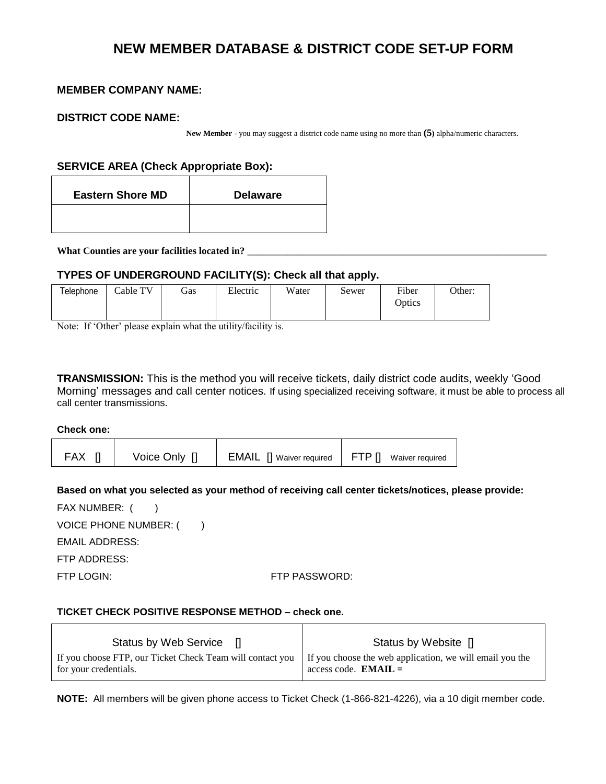# **NEW MEMBER DATABASE & DISTRICT CODE SET-UP FORM**

## **MEMBER COMPANY NAME:**

#### **DISTRICT CODE NAME:**

**New Member** - you may suggest a district code name using no more than **(5)** alpha/numeric characters.

# **SERVICE AREA (Check Appropriate Box):**

| <b>Eastern Shore MD</b> | <b>Delaware</b> |
|-------------------------|-----------------|
|                         |                 |

What Counties are your facilities located in?

## **TYPES OF UNDERGROUND FACILITY(S): Check all that apply.**

| Telephone | Cable TV | <b>Gas</b> | Electric | Water | Sewer | Fiber  | Other: |
|-----------|----------|------------|----------|-------|-------|--------|--------|
|           |          |            |          |       |       | Optics |        |
|           |          |            |          |       |       |        |        |

Note: If 'Other' please explain what the utility/facility is.

**TRANSMISSION:** This is the method you will receive tickets, daily district code audits, weekly 'Good Morning' messages and call center notices. If using specialized receiving software, it must be able to process all call center transmissions.

**Check one:** 

| <b>FAX</b> | Voice Only [] | <b>EMAIL</b> [] Waiver required   FTP [] Waiver required |  |
|------------|---------------|----------------------------------------------------------|--|
|------------|---------------|----------------------------------------------------------|--|

**Based on what you selected as your method of receiving call center tickets/notices, please provide:** 

FAX NUMBER:  $($ VOICE PHONE NUMBER: ()

EMAIL ADDRESS:

FTP ADDRESS:

FTP LOGIN: FTP PASSWORD:

#### **TICKET CHECK POSITIVE RESPONSE METHOD – check one.**

| Status by Web Service []                                                                                                                      | Status by Website []   |
|-----------------------------------------------------------------------------------------------------------------------------------------------|------------------------|
| If you choose FTP, our Ticket Check Team will contact you   If you choose the web application, we will email you the<br>for your credentials. | access code. $EMAIL =$ |

**NOTE:** All members will be given phone access to Ticket Check (1-866-821-4226), via a 10 digit member code.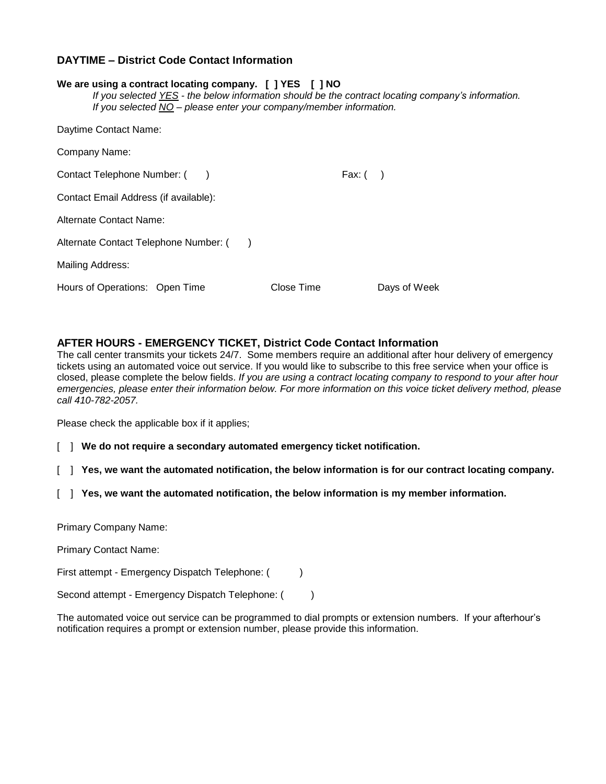## **DAYTIME – District Code Contact Information**

| We are using a contract locating company. [ ] YES [ ] NO<br>If you selected YES - the below information should be the contract locating company's information.<br>If you selected NO – please enter your company/member information. |            |              |
|--------------------------------------------------------------------------------------------------------------------------------------------------------------------------------------------------------------------------------------|------------|--------------|
| Daytime Contact Name:                                                                                                                                                                                                                |            |              |
| Company Name:                                                                                                                                                                                                                        |            |              |
| Contact Telephone Number: ()                                                                                                                                                                                                         | Fax: $($ ) |              |
| Contact Email Address (if available):                                                                                                                                                                                                |            |              |
| Alternate Contact Name:                                                                                                                                                                                                              |            |              |
| Alternate Contact Telephone Number: ()                                                                                                                                                                                               |            |              |
| Mailing Address:                                                                                                                                                                                                                     |            |              |
| Hours of Operations: Open Time                                                                                                                                                                                                       | Close Time | Days of Week |

## **AFTER HOURS - EMERGENCY TICKET, District Code Contact Information**

The call center transmits your tickets 24/7. Some members require an additional after hour delivery of emergency tickets using an automated voice out service. If you would like to subscribe to this free service when your office is closed, please complete the below fields. *If you are using a contract locating company to respond to your after hour emergencies, please enter their information below. For more information on this voice ticket delivery method, please call 410-782-2057.*

Please check the applicable box if it applies;

- [ ] **We do not require a secondary automated emergency ticket notification.**
- [ ] **Yes, we want the automated notification, the below information is for our contract locating company.**
- [ ] **Yes, we want the automated notification, the below information is my member information.**

Primary Company Name:

Primary Contact Name:

First attempt - Emergency Dispatch Telephone: ()

Second attempt - Emergency Dispatch Telephone: ()

The automated voice out service can be programmed to dial prompts or extension numbers. If your afterhour's notification requires a prompt or extension number, please provide this information.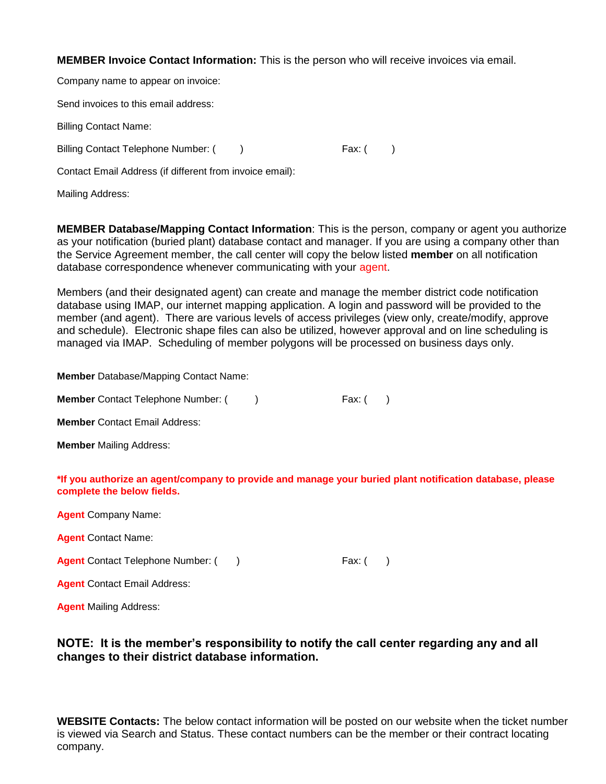**MEMBER Invoice Contact Information:** This is the person who will receive invoices via email.

Company name to appear on invoice:

Send invoices to this email address:

Billing Contact Name:

Billing Contact Telephone Number: () Fax: ()

Contact Email Address (if different from invoice email):

Mailing Address:

**MEMBER Database/Mapping Contact Information**: This is the person, company or agent you authorize as your notification (buried plant) database contact and manager. If you are using a company other than the Service Agreement member, the call center will copy the below listed **member** on all notification database correspondence whenever communicating with your agent.

Members (and their designated agent) can create and manage the member district code notification database using IMAP, our internet mapping application. A login and password will be provided to the member (and agent). There are various levels of access privileges (view only, create/modify, approve and schedule). Electronic shape files can also be utilized, however approval and on line scheduling is managed via IMAP. Scheduling of member polygons will be processed on business days only.

**Member** Database/Mapping Contact Name:

| <b>Member</b> Contact Telephone Number: ( | Fax: ( |
|-------------------------------------------|--------|
|-------------------------------------------|--------|

**Member** Contact Email Address:

**Member** Mailing Address:

**\*If you authorize an agent/company to provide and manage your buried plant notification database, please complete the below fields.**

**Agent** Company Name:

**Agent** Contact Name:

**Agent** Contact Telephone Number: ( ) Fax: ( )

**Agent** Contact Email Address:

**Agent** Mailing Address:

# **NOTE: It is the member's responsibility to notify the call center regarding any and all changes to their district database information.**

**WEBSITE Contacts:** The below contact information will be posted on our website when the ticket number is viewed via Search and Status. These contact numbers can be the member or their contract locating company.